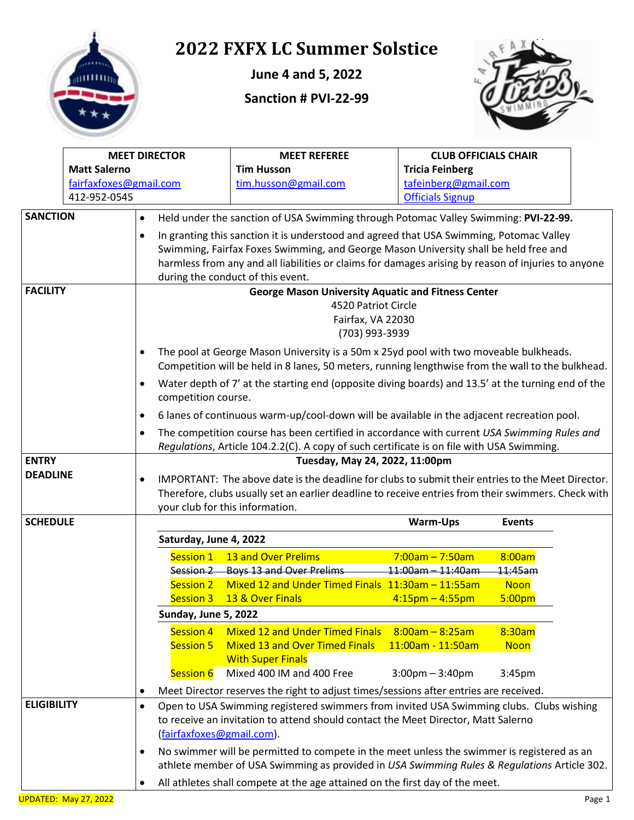

# **2022 FXFX LC Summer Solstice**

**June 4 and 5, 2022**

**Sanction # PVI-22-99**



|                              | <b>MEET DIRECTOR</b>   |                                                                                                     |                                 | <b>MEET REFEREE</b>                                                                                                                                                                        | <b>CLUB OFFICIALS CHAIR</b>       |               |  |
|------------------------------|------------------------|-----------------------------------------------------------------------------------------------------|---------------------------------|--------------------------------------------------------------------------------------------------------------------------------------------------------------------------------------------|-----------------------------------|---------------|--|
|                              | <b>Matt Salerno</b>    |                                                                                                     | <b>Tim Husson</b>               | <b>Tricia Feinberg</b>                                                                                                                                                                     |                                   |               |  |
|                              | fairfaxfoxes@gmail.com |                                                                                                     |                                 | tim.husson@gmail.com                                                                                                                                                                       | tafeinberg@gmail.com              |               |  |
|                              | 412-952-0545           |                                                                                                     |                                 |                                                                                                                                                                                            | <b>Officials Signup</b>           |               |  |
| <b>SANCTION</b><br>$\bullet$ |                        |                                                                                                     |                                 | Held under the sanction of USA Swimming through Potomac Valley Swimming: PVI-22-99.                                                                                                        |                                   |               |  |
|                              |                        | $\bullet$                                                                                           |                                 | In granting this sanction it is understood and agreed that USA Swimming, Potomac Valley                                                                                                    |                                   |               |  |
|                              |                        |                                                                                                     |                                 | Swimming, Fairfax Foxes Swimming, and George Mason University shall be held free and                                                                                                       |                                   |               |  |
|                              |                        | harmless from any and all liabilities or claims for damages arising by reason of injuries to anyone |                                 |                                                                                                                                                                                            |                                   |               |  |
|                              |                        |                                                                                                     |                                 | during the conduct of this event.                                                                                                                                                          |                                   |               |  |
| <b>FACILITY</b>              |                        |                                                                                                     |                                 | <b>George Mason University Aquatic and Fitness Center</b>                                                                                                                                  |                                   |               |  |
|                              |                        |                                                                                                     |                                 | 4520 Patriot Circle                                                                                                                                                                        |                                   |               |  |
|                              |                        |                                                                                                     |                                 | Fairfax, VA 22030                                                                                                                                                                          |                                   |               |  |
|                              |                        |                                                                                                     |                                 | (703) 993-3939                                                                                                                                                                             |                                   |               |  |
|                              |                        |                                                                                                     |                                 |                                                                                                                                                                                            |                                   |               |  |
|                              |                        | $\bullet$                                                                                           |                                 | The pool at George Mason University is a 50m x 25yd pool with two moveable bulkheads.<br>Competition will be held in 8 lanes, 50 meters, running lengthwise from the wall to the bulkhead. |                                   |               |  |
|                              |                        | $\bullet$                                                                                           |                                 | Water depth of 7' at the starting end (opposite diving boards) and 13.5' at the turning end of the                                                                                         |                                   |               |  |
|                              |                        |                                                                                                     | competition course.             |                                                                                                                                                                                            |                                   |               |  |
|                              |                        | $\bullet$                                                                                           |                                 | 6 lanes of continuous warm-up/cool-down will be available in the adjacent recreation pool.                                                                                                 |                                   |               |  |
|                              |                        | $\bullet$                                                                                           |                                 | The competition course has been certified in accordance with current USA Swimming Rules and                                                                                                |                                   |               |  |
|                              |                        |                                                                                                     |                                 | Regulations, Article 104.2.2(C). A copy of such certificate is on file with USA Swimming.                                                                                                  |                                   |               |  |
| <b>ENTRY</b>                 |                        |                                                                                                     |                                 | Tuesday, May 24, 2022, 11:00pm                                                                                                                                                             |                                   |               |  |
| <b>DEADLINE</b>              |                        |                                                                                                     |                                 | IMPORTANT: The above date is the deadline for clubs to submit their entries to the Meet Director.                                                                                          |                                   |               |  |
|                              |                        |                                                                                                     |                                 | Therefore, clubs usually set an earlier deadline to receive entries from their swimmers. Check with                                                                                        |                                   |               |  |
|                              |                        |                                                                                                     | your club for this information. |                                                                                                                                                                                            |                                   |               |  |
| <b>SCHEDULE</b>              |                        |                                                                                                     |                                 |                                                                                                                                                                                            | <b>Warm-Ups</b>                   | <b>Events</b> |  |
|                              |                        |                                                                                                     | Saturday, June 4, 2022          |                                                                                                                                                                                            |                                   |               |  |
|                              |                        |                                                                                                     | Session 1                       | 13 and Over Prelims                                                                                                                                                                        | $7:00am - 7:50am$                 | 8:00am        |  |
|                              |                        |                                                                                                     |                                 | Session 2 Boys 13 and Over Prelims                                                                                                                                                         | $11:00$ am $-11:40$ am            | 11:45am       |  |
|                              |                        |                                                                                                     |                                 | Session 2 Mixed 12 and Under Timed Finals 11:30am - 11:55am                                                                                                                                |                                   | <b>Noon</b>   |  |
|                              |                        |                                                                                                     | Session 3                       | 13 & Over Finals                                                                                                                                                                           | $4:15$ pm – 4:55pm                | 5:00pm        |  |
|                              |                        |                                                                                                     | Sunday, June 5, 2022            |                                                                                                                                                                                            |                                   |               |  |
|                              |                        |                                                                                                     | <b>Session 4</b>                | <b>Mixed 12 and Under Timed Finals</b>                                                                                                                                                     | $8:00am - 8:25am$                 | 8:30am        |  |
|                              |                        |                                                                                                     | Session 5                       | <b>Mixed 13 and Over Timed Finals</b>                                                                                                                                                      | 11:00am - 11:50am                 | <b>Noon</b>   |  |
|                              |                        |                                                                                                     |                                 | <b>With Super Finals</b>                                                                                                                                                                   |                                   |               |  |
|                              |                        |                                                                                                     | <b>Session 6</b>                | Mixed 400 IM and 400 Free                                                                                                                                                                  | $3:00 \text{pm} - 3:40 \text{pm}$ | 3:45pm        |  |
|                              |                        |                                                                                                     |                                 | Meet Director reserves the right to adjust times/sessions after entries are received.                                                                                                      |                                   |               |  |
| <b>ELIGIBILITY</b>           |                        | $\bullet$                                                                                           |                                 | Open to USA Swimming registered swimmers from invited USA Swimming clubs. Clubs wishing                                                                                                    |                                   |               |  |
|                              |                        |                                                                                                     |                                 | to receive an invitation to attend should contact the Meet Director, Matt Salerno                                                                                                          |                                   |               |  |
|                              |                        |                                                                                                     | (fairfaxfoxes@gmail.com).       |                                                                                                                                                                                            |                                   |               |  |
|                              |                        | $\bullet$                                                                                           |                                 | No swimmer will be permitted to compete in the meet unless the swimmer is registered as an                                                                                                 |                                   |               |  |
|                              |                        |                                                                                                     |                                 | athlete member of USA Swimming as provided in USA Swimming Rules & Regulations Article 302.                                                                                                |                                   |               |  |
|                              |                        |                                                                                                     |                                 | All athletes shall compete at the age attained on the first day of the meet.                                                                                                               |                                   |               |  |
|                              |                        |                                                                                                     |                                 |                                                                                                                                                                                            |                                   |               |  |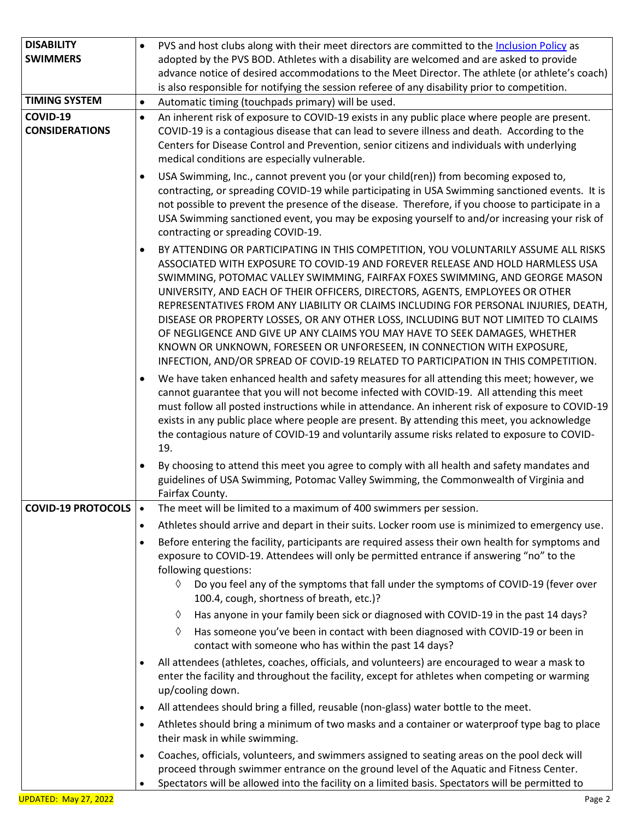| <b>DISABILITY</b>                 | PVS and host clubs along with their meet directors are committed to the Inclusion Policy as<br>$\bullet$                                                                                                                                                                                                                                                                                                                                                                                                                                                                                                                                                                                                                                                                       |
|-----------------------------------|--------------------------------------------------------------------------------------------------------------------------------------------------------------------------------------------------------------------------------------------------------------------------------------------------------------------------------------------------------------------------------------------------------------------------------------------------------------------------------------------------------------------------------------------------------------------------------------------------------------------------------------------------------------------------------------------------------------------------------------------------------------------------------|
| <b>SWIMMERS</b>                   | adopted by the PVS BOD. Athletes with a disability are welcomed and are asked to provide<br>advance notice of desired accommodations to the Meet Director. The athlete (or athlete's coach)<br>is also responsible for notifying the session referee of any disability prior to competition.                                                                                                                                                                                                                                                                                                                                                                                                                                                                                   |
| <b>TIMING SYSTEM</b>              | Automatic timing (touchpads primary) will be used.<br>$\bullet$                                                                                                                                                                                                                                                                                                                                                                                                                                                                                                                                                                                                                                                                                                                |
| COVID-19<br><b>CONSIDERATIONS</b> | An inherent risk of exposure to COVID-19 exists in any public place where people are present.<br>$\bullet$<br>COVID-19 is a contagious disease that can lead to severe illness and death. According to the<br>Centers for Disease Control and Prevention, senior citizens and individuals with underlying<br>medical conditions are especially vulnerable.                                                                                                                                                                                                                                                                                                                                                                                                                     |
|                                   | USA Swimming, Inc., cannot prevent you (or your child(ren)) from becoming exposed to,<br>$\bullet$<br>contracting, or spreading COVID-19 while participating in USA Swimming sanctioned events. It is<br>not possible to prevent the presence of the disease. Therefore, if you choose to participate in a<br>USA Swimming sanctioned event, you may be exposing yourself to and/or increasing your risk of<br>contracting or spreading COVID-19.                                                                                                                                                                                                                                                                                                                              |
|                                   | BY ATTENDING OR PARTICIPATING IN THIS COMPETITION, YOU VOLUNTARILY ASSUME ALL RISKS<br>$\bullet$<br>ASSOCIATED WITH EXPOSURE TO COVID-19 AND FOREVER RELEASE AND HOLD HARMLESS USA<br>SWIMMING, POTOMAC VALLEY SWIMMING, FAIRFAX FOXES SWIMMING, AND GEORGE MASON<br>UNIVERSITY, AND EACH OF THEIR OFFICERS, DIRECTORS, AGENTS, EMPLOYEES OR OTHER<br>REPRESENTATIVES FROM ANY LIABILITY OR CLAIMS INCLUDING FOR PERSONAL INJURIES, DEATH,<br>DISEASE OR PROPERTY LOSSES, OR ANY OTHER LOSS, INCLUDING BUT NOT LIMITED TO CLAIMS<br>OF NEGLIGENCE AND GIVE UP ANY CLAIMS YOU MAY HAVE TO SEEK DAMAGES, WHETHER<br>KNOWN OR UNKNOWN, FORESEEN OR UNFORESEEN, IN CONNECTION WITH EXPOSURE,<br>INFECTION, AND/OR SPREAD OF COVID-19 RELATED TO PARTICIPATION IN THIS COMPETITION. |
|                                   | We have taken enhanced health and safety measures for all attending this meet; however, we<br>$\bullet$<br>cannot guarantee that you will not become infected with COVID-19. All attending this meet<br>must follow all posted instructions while in attendance. An inherent risk of exposure to COVID-19<br>exists in any public place where people are present. By attending this meet, you acknowledge<br>the contagious nature of COVID-19 and voluntarily assume risks related to exposure to COVID-<br>19.                                                                                                                                                                                                                                                               |
|                                   | By choosing to attend this meet you agree to comply with all health and safety mandates and<br>$\bullet$<br>guidelines of USA Swimming, Potomac Valley Swimming, the Commonwealth of Virginia and<br>Fairfax County.                                                                                                                                                                                                                                                                                                                                                                                                                                                                                                                                                           |
| <b>COVID-19 PROTOCOLS  </b>       | The meet will be limited to a maximum of 400 swimmers per session.                                                                                                                                                                                                                                                                                                                                                                                                                                                                                                                                                                                                                                                                                                             |
|                                   | Athletes should arrive and depart in their suits. Locker room use is minimized to emergency use.<br>$\bullet$                                                                                                                                                                                                                                                                                                                                                                                                                                                                                                                                                                                                                                                                  |
|                                   | Before entering the facility, participants are required assess their own health for symptoms and<br>$\bullet$<br>exposure to COVID-19. Attendees will only be permitted entrance if answering "no" to the<br>following questions:                                                                                                                                                                                                                                                                                                                                                                                                                                                                                                                                              |
|                                   | Do you feel any of the symptoms that fall under the symptoms of COVID-19 (fever over<br>♦<br>100.4, cough, shortness of breath, etc.)?                                                                                                                                                                                                                                                                                                                                                                                                                                                                                                                                                                                                                                         |
|                                   | Has anyone in your family been sick or diagnosed with COVID-19 in the past 14 days?<br>♦                                                                                                                                                                                                                                                                                                                                                                                                                                                                                                                                                                                                                                                                                       |
|                                   | Has someone you've been in contact with been diagnosed with COVID-19 or been in<br>♦<br>contact with someone who has within the past 14 days?                                                                                                                                                                                                                                                                                                                                                                                                                                                                                                                                                                                                                                  |
|                                   | All attendees (athletes, coaches, officials, and volunteers) are encouraged to wear a mask to<br>$\bullet$<br>enter the facility and throughout the facility, except for athletes when competing or warming<br>up/cooling down.                                                                                                                                                                                                                                                                                                                                                                                                                                                                                                                                                |
|                                   | All attendees should bring a filled, reusable (non-glass) water bottle to the meet.<br>$\bullet$                                                                                                                                                                                                                                                                                                                                                                                                                                                                                                                                                                                                                                                                               |
|                                   | Athletes should bring a minimum of two masks and a container or waterproof type bag to place<br>$\bullet$<br>their mask in while swimming.                                                                                                                                                                                                                                                                                                                                                                                                                                                                                                                                                                                                                                     |
|                                   | Coaches, officials, volunteers, and swimmers assigned to seating areas on the pool deck will<br>$\bullet$<br>proceed through swimmer entrance on the ground level of the Aquatic and Fitness Center.<br>Spectators will be allowed into the facility on a limited basis. Spectators will be permitted to<br>$\bullet$                                                                                                                                                                                                                                                                                                                                                                                                                                                          |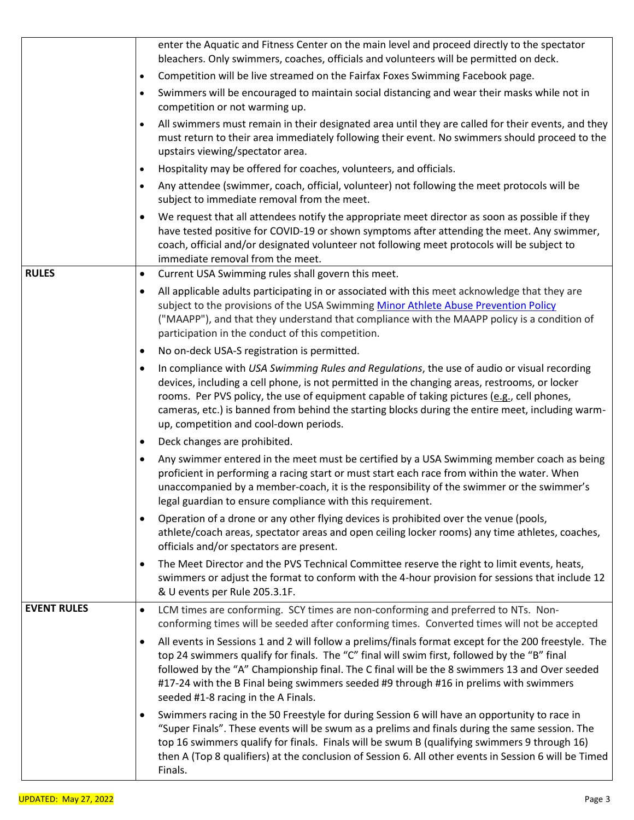|                    | enter the Aquatic and Fitness Center on the main level and proceed directly to the spectator<br>bleachers. Only swimmers, coaches, officials and volunteers will be permitted on deck.                                                                                                                                                                                                                                                                |
|--------------------|-------------------------------------------------------------------------------------------------------------------------------------------------------------------------------------------------------------------------------------------------------------------------------------------------------------------------------------------------------------------------------------------------------------------------------------------------------|
|                    | Competition will be live streamed on the Fairfax Foxes Swimming Facebook page.<br>$\bullet$                                                                                                                                                                                                                                                                                                                                                           |
|                    | Swimmers will be encouraged to maintain social distancing and wear their masks while not in<br>$\bullet$                                                                                                                                                                                                                                                                                                                                              |
|                    | competition or not warming up.                                                                                                                                                                                                                                                                                                                                                                                                                        |
|                    | All swimmers must remain in their designated area until they are called for their events, and they<br>$\bullet$<br>must return to their area immediately following their event. No swimmers should proceed to the                                                                                                                                                                                                                                     |
|                    | upstairs viewing/spectator area.                                                                                                                                                                                                                                                                                                                                                                                                                      |
|                    | Hospitality may be offered for coaches, volunteers, and officials.<br>$\bullet$                                                                                                                                                                                                                                                                                                                                                                       |
|                    | Any attendee (swimmer, coach, official, volunteer) not following the meet protocols will be<br>subject to immediate removal from the meet.                                                                                                                                                                                                                                                                                                            |
|                    | We request that all attendees notify the appropriate meet director as soon as possible if they                                                                                                                                                                                                                                                                                                                                                        |
|                    | have tested positive for COVID-19 or shown symptoms after attending the meet. Any swimmer,<br>coach, official and/or designated volunteer not following meet protocols will be subject to<br>immediate removal from the meet.                                                                                                                                                                                                                         |
| <b>RULES</b>       | Current USA Swimming rules shall govern this meet.<br>$\bullet$                                                                                                                                                                                                                                                                                                                                                                                       |
|                    | All applicable adults participating in or associated with this meet acknowledge that they are<br>$\bullet$<br>subject to the provisions of the USA Swimming Minor Athlete Abuse Prevention Policy<br>("MAAPP"), and that they understand that compliance with the MAAPP policy is a condition of<br>participation in the conduct of this competition.                                                                                                 |
|                    | No on-deck USA-S registration is permitted.<br>$\bullet$                                                                                                                                                                                                                                                                                                                                                                                              |
|                    | In compliance with USA Swimming Rules and Regulations, the use of audio or visual recording<br>$\bullet$<br>devices, including a cell phone, is not permitted in the changing areas, restrooms, or locker<br>rooms. Per PVS policy, the use of equipment capable of taking pictures (e.g., cell phones,<br>cameras, etc.) is banned from behind the starting blocks during the entire meet, including warm-<br>up, competition and cool-down periods. |
|                    | Deck changes are prohibited.<br>$\bullet$                                                                                                                                                                                                                                                                                                                                                                                                             |
|                    | Any swimmer entered in the meet must be certified by a USA Swimming member coach as being<br>proficient in performing a racing start or must start each race from within the water. When<br>unaccompanied by a member-coach, it is the responsibility of the swimmer or the swimmer's<br>legal guardian to ensure compliance with this requirement.                                                                                                   |
|                    | Operation of a drone or any other flying devices is prohibited over the venue (pools,<br>$\bullet$<br>athlete/coach areas, spectator areas and open ceiling locker rooms) any time athletes, coaches,<br>officials and/or spectators are present.                                                                                                                                                                                                     |
|                    | The Meet Director and the PVS Technical Committee reserve the right to limit events, heats,<br>$\bullet$<br>swimmers or adjust the format to conform with the 4-hour provision for sessions that include 12<br>& U events per Rule 205.3.1F.                                                                                                                                                                                                          |
| <b>EVENT RULES</b> | LCM times are conforming. SCY times are non-conforming and preferred to NTs. Non-<br>$\bullet$<br>conforming times will be seeded after conforming times. Converted times will not be accepted                                                                                                                                                                                                                                                        |
|                    | All events in Sessions 1 and 2 will follow a prelims/finals format except for the 200 freestyle. The<br>$\bullet$<br>top 24 swimmers qualify for finals. The "C" final will swim first, followed by the "B" final<br>followed by the "A" Championship final. The C final will be the 8 swimmers 13 and Over seeded<br>#17-24 with the B Final being swimmers seeded #9 through #16 in prelims with swimmers<br>seeded #1-8 racing in the A Finals.    |
|                    | Swimmers racing in the 50 Freestyle for during Session 6 will have an opportunity to race in<br>$\bullet$<br>"Super Finals". These events will be swum as a prelims and finals during the same session. The<br>top 16 swimmers qualify for finals. Finals will be swum B (qualifying swimmers 9 through 16)<br>then A (Top 8 qualifiers) at the conclusion of Session 6. All other events in Session 6 will be Timed<br>Finals.                       |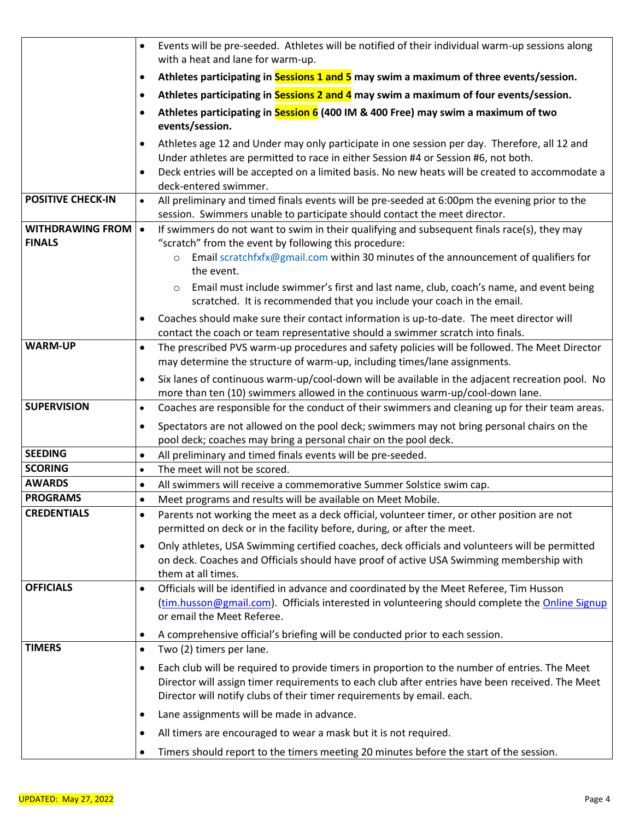|                                          | $\bullet$              | Events will be pre-seeded. Athletes will be notified of their individual warm-up sessions along<br>with a heat and lane for warm-up.                                                                                                                                       |  |  |
|------------------------------------------|------------------------|----------------------------------------------------------------------------------------------------------------------------------------------------------------------------------------------------------------------------------------------------------------------------|--|--|
|                                          | $\bullet$              | Athletes participating in Sessions 1 and 5 may swim a maximum of three events/session.                                                                                                                                                                                     |  |  |
|                                          | $\bullet$              | Athletes participating in Sessions 2 and 4 may swim a maximum of four events/session.                                                                                                                                                                                      |  |  |
|                                          |                        | Athletes participating in Session 6 (400 IM & 400 Free) may swim a maximum of two                                                                                                                                                                                          |  |  |
|                                          | $\bullet$              | events/session.                                                                                                                                                                                                                                                            |  |  |
|                                          | $\bullet$              | Athletes age 12 and Under may only participate in one session per day. Therefore, all 12 and<br>Under athletes are permitted to race in either Session #4 or Session #6, not both.                                                                                         |  |  |
|                                          | $\bullet$              | Deck entries will be accepted on a limited basis. No new heats will be created to accommodate a<br>deck-entered swimmer.                                                                                                                                                   |  |  |
| <b>POSITIVE CHECK-IN</b>                 | $\bullet$              | All preliminary and timed finals events will be pre-seeded at 6:00pm the evening prior to the                                                                                                                                                                              |  |  |
|                                          |                        | session. Swimmers unable to participate should contact the meet director.                                                                                                                                                                                                  |  |  |
| <b>WITHDRAWING FROM</b><br><b>FINALS</b> | $\bullet$              | If swimmers do not want to swim in their qualifying and subsequent finals race(s), they may<br>"scratch" from the event by following this procedure:                                                                                                                       |  |  |
|                                          |                        | Email scratchfxfx@gmail.com within 30 minutes of the announcement of qualifiers for<br>$\circ$                                                                                                                                                                             |  |  |
|                                          |                        | the event.                                                                                                                                                                                                                                                                 |  |  |
|                                          |                        | Email must include swimmer's first and last name, club, coach's name, and event being<br>$\circ$<br>scratched. It is recommended that you include your coach in the email.                                                                                                 |  |  |
|                                          | $\bullet$              | Coaches should make sure their contact information is up-to-date. The meet director will                                                                                                                                                                                   |  |  |
|                                          |                        | contact the coach or team representative should a swimmer scratch into finals.                                                                                                                                                                                             |  |  |
| <b>WARM-UP</b>                           | $\bullet$              | The prescribed PVS warm-up procedures and safety policies will be followed. The Meet Director<br>may determine the structure of warm-up, including times/lane assignments.                                                                                                 |  |  |
|                                          | $\bullet$              | Six lanes of continuous warm-up/cool-down will be available in the adjacent recreation pool. No                                                                                                                                                                            |  |  |
|                                          |                        | more than ten (10) swimmers allowed in the continuous warm-up/cool-down lane.                                                                                                                                                                                              |  |  |
| <b>SUPERVISION</b>                       | $\bullet$              | Coaches are responsible for the conduct of their swimmers and cleaning up for their team areas.                                                                                                                                                                            |  |  |
|                                          | $\bullet$              | Spectators are not allowed on the pool deck; swimmers may not bring personal chairs on the                                                                                                                                                                                 |  |  |
|                                          |                        | pool deck; coaches may bring a personal chair on the pool deck.                                                                                                                                                                                                            |  |  |
| <b>SEEDING</b>                           | $\bullet$              | All preliminary and timed finals events will be pre-seeded.                                                                                                                                                                                                                |  |  |
| <b>SCORING</b><br><b>AWARDS</b>          | $\bullet$              | The meet will not be scored.                                                                                                                                                                                                                                               |  |  |
| <b>PROGRAMS</b>                          | $\bullet$<br>$\bullet$ | All swimmers will receive a commemorative Summer Solstice swim cap.<br>Meet programs and results will be available on Meet Mobile.                                                                                                                                         |  |  |
| <b>CREDENTIALS</b>                       | $\bullet$              | Parents not working the meet as a deck official, volunteer timer, or other position are not                                                                                                                                                                                |  |  |
|                                          |                        | permitted on deck or in the facility before, during, or after the meet.                                                                                                                                                                                                    |  |  |
|                                          | $\bullet$              | Only athletes, USA Swimming certified coaches, deck officials and volunteers will be permitted                                                                                                                                                                             |  |  |
|                                          |                        | on deck. Coaches and Officials should have proof of active USA Swimming membership with                                                                                                                                                                                    |  |  |
|                                          |                        | them at all times.                                                                                                                                                                                                                                                         |  |  |
| <b>OFFICIALS</b>                         | $\bullet$              | Officials will be identified in advance and coordinated by the Meet Referee, Tim Husson<br>(tim.husson@gmail.com). Officials interested in volunteering should complete the Online Signup<br>or email the Meet Referee.                                                    |  |  |
|                                          | $\bullet$              | A comprehensive official's briefing will be conducted prior to each session.                                                                                                                                                                                               |  |  |
| <b>TIMERS</b>                            | $\bullet$              | Two (2) timers per lane.                                                                                                                                                                                                                                                   |  |  |
|                                          |                        |                                                                                                                                                                                                                                                                            |  |  |
|                                          | $\bullet$              | Each club will be required to provide timers in proportion to the number of entries. The Meet<br>Director will assign timer requirements to each club after entries have been received. The Meet<br>Director will notify clubs of their timer requirements by email. each. |  |  |
|                                          | $\bullet$              | Lane assignments will be made in advance.                                                                                                                                                                                                                                  |  |  |
|                                          | $\bullet$              | All timers are encouraged to wear a mask but it is not required.                                                                                                                                                                                                           |  |  |
|                                          | $\bullet$              | Timers should report to the timers meeting 20 minutes before the start of the session.                                                                                                                                                                                     |  |  |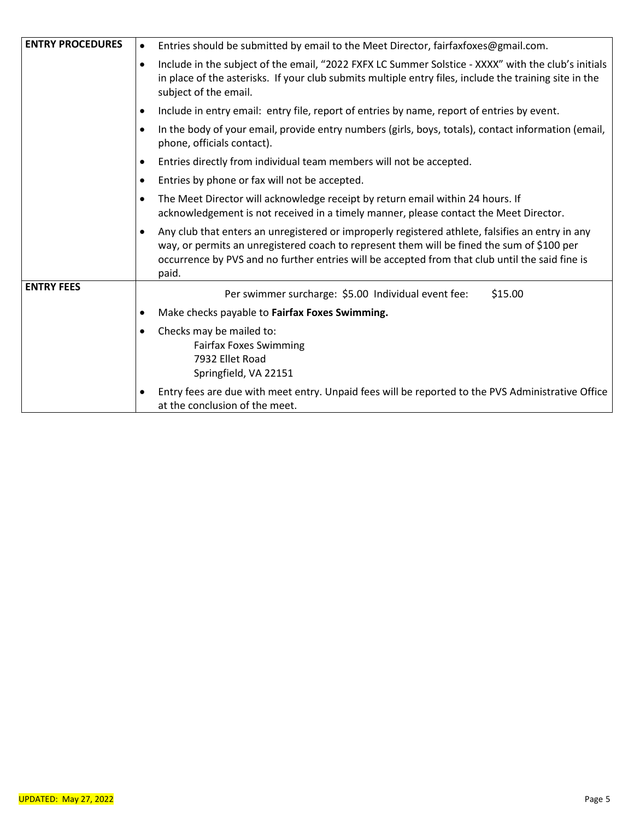| <b>ENTRY PROCEDURES</b> | Entries should be submitted by email to the Meet Director, fairfaxfoxes@gmail.com.<br>$\bullet$                                                                                                                                                                                                                         |
|-------------------------|-------------------------------------------------------------------------------------------------------------------------------------------------------------------------------------------------------------------------------------------------------------------------------------------------------------------------|
|                         | Include in the subject of the email, "2022 FXFX LC Summer Solstice - XXXX" with the club's initials<br>$\bullet$<br>in place of the asterisks. If your club submits multiple entry files, include the training site in the<br>subject of the email.                                                                     |
|                         | Include in entry email: entry file, report of entries by name, report of entries by event.<br>$\bullet$                                                                                                                                                                                                                 |
|                         | In the body of your email, provide entry numbers (girls, boys, totals), contact information (email,<br>$\bullet$<br>phone, officials contact).                                                                                                                                                                          |
|                         | Entries directly from individual team members will not be accepted.<br>$\bullet$                                                                                                                                                                                                                                        |
|                         | Entries by phone or fax will not be accepted.<br>$\bullet$                                                                                                                                                                                                                                                              |
|                         | The Meet Director will acknowledge receipt by return email within 24 hours. If<br>$\bullet$<br>acknowledgement is not received in a timely manner, please contact the Meet Director.                                                                                                                                    |
|                         | Any club that enters an unregistered or improperly registered athlete, falsifies an entry in any<br>$\bullet$<br>way, or permits an unregistered coach to represent them will be fined the sum of \$100 per<br>occurrence by PVS and no further entries will be accepted from that club until the said fine is<br>paid. |
| <b>ENTRY FEES</b>       | Per swimmer surcharge: \$5.00 Individual event fee:<br>\$15.00                                                                                                                                                                                                                                                          |
|                         | Make checks payable to Fairfax Foxes Swimming.<br>$\bullet$                                                                                                                                                                                                                                                             |
|                         | Checks may be mailed to:<br>$\bullet$<br><b>Fairfax Foxes Swimming</b><br>7932 Ellet Road<br>Springfield, VA 22151                                                                                                                                                                                                      |
|                         | Entry fees are due with meet entry. Unpaid fees will be reported to the PVS Administrative Office<br>$\bullet$<br>at the conclusion of the meet.                                                                                                                                                                        |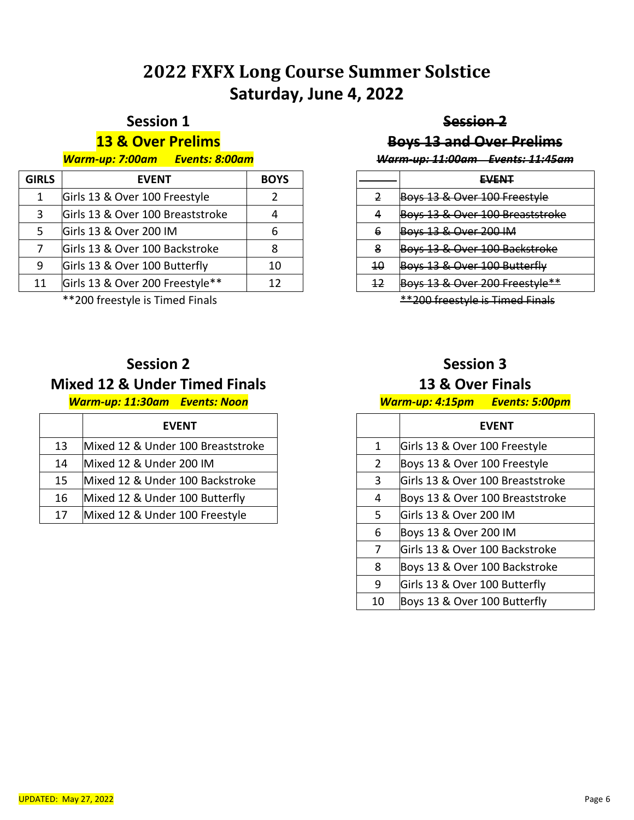# **FXFX Long Course Summer Solstice Saturday, June 4, 2022**

### **Session 1**

### **& Over Prelims**

#### *Warm-up: 7:00am Events: 8:00am*

| <b>GIRLS</b> | <b>EVENT</b>                     | <b>BOYS</b> |
|--------------|----------------------------------|-------------|
| 1            | Girls 13 & Over 100 Freestyle    |             |
| 3            | Girls 13 & Over 100 Breaststroke |             |
| -5           | Girls 13 & Over 200 IM           |             |
|              | Girls 13 & Over 100 Backstroke   |             |
| 9            | Girls 13 & Over 100 Butterfly    | 10          |
| 11           | Girls 13 & Over 200 Freestyle**  | 12          |
|              |                                  |             |

\*\*200 freestyle is Timed Finals

### **Session 2**

### **Mixed 12 & Under Timed Finals**

#### *Warm-up: 11:30am Events: Noon*

|    | <b>EVENT</b>                      |
|----|-----------------------------------|
| 13 | Mixed 12 & Under 100 Breaststroke |
| 14 | Mixed 12 & Under 200 IM           |
| 15 | Mixed 12 & Under 100 Backstroke   |
| 16 | Mixed 12 & Under 100 Butterfly    |
| 17 | Mixed 12 & Under 100 Freestyle    |

### **Session 2**

### **Boys 13 and Over Prelims**

#### *Warm-up: 11:00am Events: 11:45am*

|    | EVENT                                         |
|----|-----------------------------------------------|
| 2  | Boys 13 & Over 100 Freestyle                  |
| 4  | Boys 13 & Over 100 Breaststroke               |
| 6  | <b>Boys 13 &amp; Over 200 IM</b>              |
| 8  | Boys 13 & Over 100 Backstroke                 |
| 10 | Boys 13 & Over 100 Butterfly                  |
| 42 | <del>Boys 13 &amp; Over 200 Freestyle**</del> |
|    |                                               |

\*\*200 freestyle is Timed Finals

### **Session 3**

#### **13 & Over Finals**

#### *Warm-up: 4:15pm Events: 5:00pm*

|              | FVFNT                            |
|--------------|----------------------------------|
| $\mathbf{1}$ | Girls 13 & Over 100 Freestyle    |
| 2            | Boys 13 & Over 100 Freestyle     |
| 3            | Girls 13 & Over 100 Breaststroke |
| 4            | Boys 13 & Over 100 Breaststroke  |
| 5.           | Girls 13 & Over 200 IM           |
| 6            | Boys 13 & Over 200 IM            |
| 7            | Girls 13 & Over 100 Backstroke   |
| 8            | Boys 13 & Over 100 Backstroke    |
| 9            | Girls 13 & Over 100 Butterfly    |
| 10           | Boys 13 & Over 100 Butterfly     |